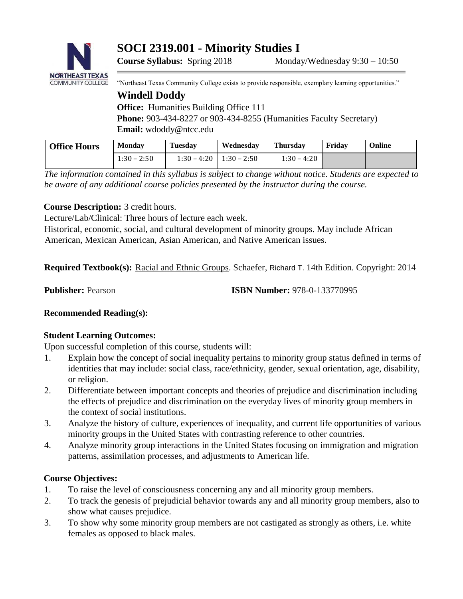**SOCI 2319.001 - Minority Studies I** 



"Northeast Texas Community College exists to provide responsible, exemplary learning opportunities."

# **Windell Doddy Office:** Humanities Building Office 111

**Phone:** 903-434-8227 or 903-434-8255 (Humanities Faculty Secretary) **Email:** wdoddy@ntcc.edu

| <b>Office Hours</b> | <b>Monday</b> | <b>Tuesday</b> | Wednesday                     | <b>Thursdav</b> | Fridav | Online |
|---------------------|---------------|----------------|-------------------------------|-----------------|--------|--------|
|                     | $1:30 - 2:50$ |                | $1:30 - 4:20$   $1:30 - 2:50$ | $1:30 - 4:20$   |        |        |

*The information contained in this syllabus is subject to change without notice. Students are expected to be aware of any additional course policies presented by the instructor during the course.* 

# **Course Description:** 3 credit hours.

Lecture/Lab/Clinical: Three hours of lecture each week.

Historical, economic, social, and cultural development of minority groups. May include African American, Mexican American, Asian American, and Native American issues.

**Required Textbook(s):** Racial and Ethnic Groups. Schaefer[,](https://www.amazon.com/Richard-T.-Schaefer/e/B001IGNT2Q/ref=dp_byline_cont_book_1) [Richard T.](https://www.amazon.com/Richard-T.-Schaefer/e/B001IGNT2Q/ref=dp_byline_cont_book_1) [14](https://www.amazon.com/Richard-T.-Schaefer/e/B001IGNT2Q/ref=dp_byline_cont_book_1)th Edition. Copyright: 2014

**Publisher:** Pearson **ISBN Number:** 978-0-133770995

# **Recommended Reading(s):**

# **Student Learning Outcomes:**

Upon successful completion of this course, students will:

- 1. Explain how the concept of social inequality pertains to minority group status defined in terms of identities that may include: social class, race/ethnicity, gender, sexual orientation, age, disability, or religion.
- 2. Differentiate between important concepts and theories of prejudice and discrimination including the effects of prejudice and discrimination on the everyday lives of minority group members in the context of social institutions.
- 3. Analyze the history of culture, experiences of inequality, and current life opportunities of various minority groups in the United States with contrasting reference to other countries.
- 4. Analyze minority group interactions in the United States focusing on immigration and migration patterns, assimilation processes, and adjustments to American life.

# **Course Objectives:**

- 1. To raise the level of consciousness concerning any and all minority group members.
- 2. To track the genesis of prejudicial behavior towards any and all minority group members, also to show what causes prejudice.
- 3. To show why some minority group members are not castigated as strongly as others, i.e. white females as opposed to black males.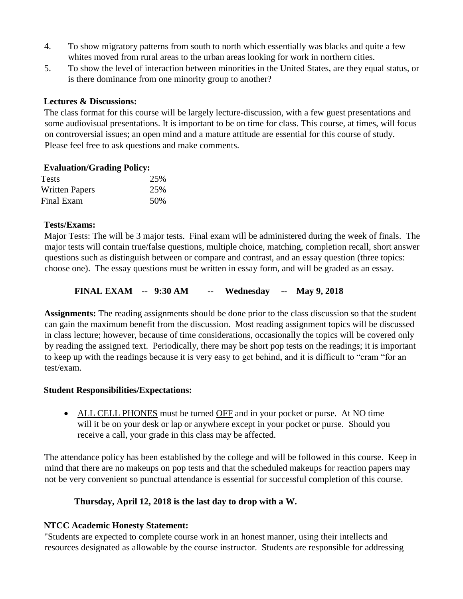- 4. To show migratory patterns from south to north which essentially was blacks and quite a few whites moved from rural areas to the urban areas looking for work in northern cities.
- 5. To show the level of interaction between minorities in the United States, are they equal status, or is there dominance from one minority group to another?

## **Lectures & Discussions:**

The class format for this course will be largely lecture-discussion, with a few guest presentations and some audiovisual presentations. It is important to be on time for class. This course, at times, will focus on controversial issues; an open mind and a mature attitude are essential for this course of study. Please feel free to ask questions and make comments.

## **Evaluation/Grading Policy:**

| Tests                 | 25% |
|-----------------------|-----|
| <b>Written Papers</b> | 25% |
| Final Exam            | 50% |

## **Tests/Exams:**

Major Tests: The will be 3 major tests. Final exam will be administered during the week of finals. The major tests will contain true/false questions, multiple choice, matching, completion recall, short answer questions such as distinguish between or compare and contrast, and an essay question (three topics: choose one). The essay questions must be written in essay form, and will be graded as an essay.

**FINAL EXAM -- 9:30 AM -- Wednesday -- May 9, 2018** 

**Assignments:** The reading assignments should be done prior to the class discussion so that the student can gain the maximum benefit from the discussion. Most reading assignment topics will be discussed in class lecture; however, because of time considerations, occasionally the topics will be covered only by reading the assigned text. Periodically, there may be short pop tests on the readings; it is important to keep up with the readings because it is very easy to get behind, and it is difficult to "cram "for an test/exam.

#### **Student Responsibilities/Expectations:**

• ALL CELL PHONES must be turned OFF and in your pocket or purse. At NO time will it be on your desk or lap or anywhere except in your pocket or purse. Should you receive a call, your grade in this class may be affected.

The attendance policy has been established by the college and will be followed in this course. Keep in mind that there are no makeups on pop tests and that the scheduled makeups for reaction papers may not be very convenient so punctual attendance is essential for successful completion of this course.

# **Thursday, April 12, 2018 is the last day to drop with a W.**

# **NTCC Academic Honesty Statement:**

"Students are expected to complete course work in an honest manner, using their intellects and resources designated as allowable by the course instructor. Students are responsible for addressing